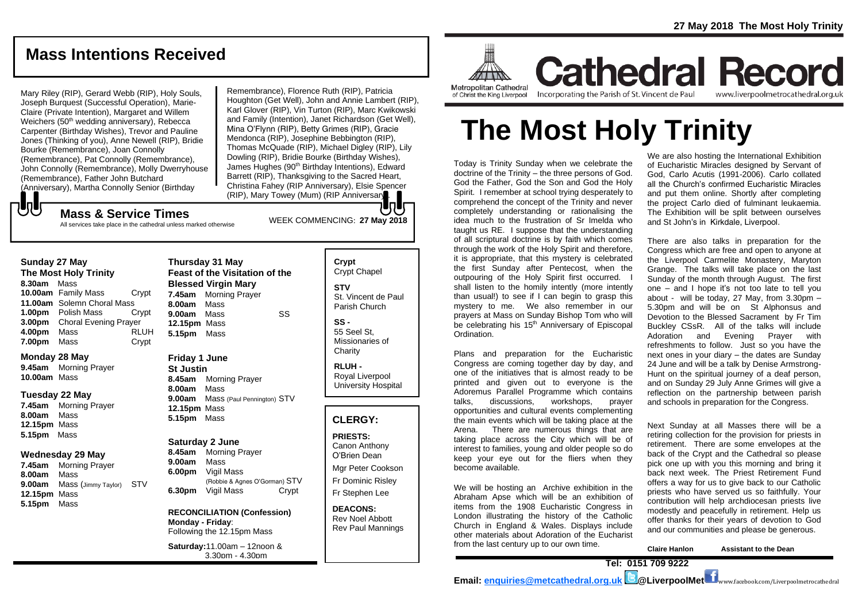## **Mass Intentions Received**

Mary Riley (RIP), Gerard Webb (RIP), Holy Souls, Joseph Burquest (Successful Operation), Marie-Claire (Private Intention), Margaret and Willem Weichers (50<sup>th</sup> wedding anniversary), Rebecca Carpenter (Birthday Wishes), Trevor and Pauline Jones (Thinking of you), Anne Newell (RIP), Bridie Bourke (Remembrance), Joan Connolly (Remembrance), Pat Connolly (Remembrance), John Connolly (Remembrance), Molly Dwerryhouse (Remembrance), Father John Butchard (Anniversary), Martha Connolly Senior (Birthday

Remembrance), Florence Ruth (RIP), Patricia Houghton (Get Well), John and Annie Lambert (RIP), Karl Glover (RIP), Vin Turton (RIP), Marc Kwikowski and Family (Intention), Janet Richardson (Get Well), Mina O'Flynn (RIP), Betty Grimes (RIP), Gracie Mendonca (RIP), Josephine Bebbington (RIP), Thomas McQuade (RIP), Michael Digley (RIP), Lily Dowling (RIP), Bridie Bourke (Birthday Wishes), James Hughes (90<sup>th</sup> Birthday Intentions), Edward Barrett (RIP), Thanksgiving to the Sacred Heart, Christina Fahey (RIP Anniversary), Elsie Spencer (RIP), Mary Towey (Mum) (RIP Anniversary). In L

## WEEK COMMENCING: **<sup>27</sup> May <sup>2018</sup> Mass & Service Times**

All services take place in the cathedral unless marked otherwise

#### **Sunday 27 May**

もし

**The Most Holy Trinity 8.30am** Mass **10.00am** Family Mass Crypt **11.00am** Solemn Choral Mass **1.00pm** Polish Mass Crypt **3.00pm** Choral Evening Prayer **4.00pm** Mass RLUH **7.00pm** Mass **Crypt** 

#### **Monday 28 May**

**9.45am** Morning Prayer **10.00am** Mass

#### **Tuesday 22 May**

**7.45am** Morning Prayer **8.00am** Mass **12.15pm** Mass **5.15pm** Mass

#### **Wednesday 29 May**

**7.45am** Morning Prayer **8.00am** Mass **9.00am** Mass (Jimmy Taylor) STV **12.15pm** Mass **5.15pm** Mass

#### **Thursday 31 May Feast of the Visitation of the Blessed Virgin Mary 7.45am** Morning Prayer **8.00am** Mass **9.00am** Mass SS **12.15pm** Mass **5.15pm** Mass

**Friday 1 June St Justin 8.45am** Morning Prayer **8.00am** Mass **9.00am** Mass (Paul Pennington) STV **12.15pm** Mass **5.15pm** Mass

#### **Saturday 2 June 8.45am** Morning Prayer **9.00am** Mass **6.00pm** Vigil Mass (Robbie & Agnes O'Gorman) STV **6.30pm** Vigil Mass Crypt

**RECONCILIATION (Confession) Monday - Friday**: Following the 12.15pm Mass

**Saturday:**11.00am – 12noon & 3.30pm - 4.30pm

## **Crypt** Crypt Chapel

**STV** St. Vincent de Paul Parish Church

**SS -** 55 Seel St, Missionaries of **Charity** 

**RLUH -** Royal Liverpool University Hospital

#### **CLERGY:**

**PRIESTS:** Canon Anthony O'Brien *Dean*

Mgr Peter Cookson Fr Dominic Risley Fr Stephen Lee

**DEACONS:** Rev Noel Abbott Rev Paul Mannings



**Cathedral Record** Incorporating the Parish of St. Vincent de Paul www.liverpoolmetrocathedral.org.uk

# **The Most Holy Trinity**

Today is Trinity Sunday when we celebrate the doctrine of the Trinity – the three persons of God. God the Father, God the Son and God the Holy Spirit. I remember at school trying desperately to comprehend the concept of the Trinity and never completely understanding or rationalising the idea much to the frustration of Sr Imelda who taught us RE. I suppose that the understanding of all scriptural doctrine is by faith which comes through the work of the Holy Spirit and therefore, it is appropriate, that this mystery is celebrated the first Sunday after Pentecost, when the outpouring of the Holy Spirit first occurred. I shall listen to the homily intently (more intently than usual!) to see if I can begin to grasp this mystery to me. We also remember in our prayers at Mass on Sunday Bishop Tom who will be celebrating his 15<sup>th</sup> Anniversary of Episcopal Ordination.

Plans and preparation for the Eucharistic Congress are coming together day by day, and one of the initiatives that is almost ready to be printed and given out to everyone is the Adoremus Parallel Programme which contains talks, discussions, workshops, prayer opportunities and cultural events complementing the main events which will be taking place at the Arena. There are numerous things that are taking place across the City which will be of interest to families, young and older people so do keep your eye out for the fliers when they become available.

We will be hosting an Archive exhibition in the Abraham Apse which will be an exhibition of items from the 1908 Eucharistic Congress in London illustrating the history of the Catholic Church in England & Wales. Displays include other materials about Adoration of the Eucharist from the last century up to our own time.

We are also hosting the International Exhibition of Eucharistic Miracles designed by Servant of God, Carlo Acutis (1991-2006). Carlo collated all the Church's confirmed Eucharistic Miracles and put them online. Shortly after completing the project Carlo died of fulminant leukaemia. The Exhibition will be split between ourselves and St John's in Kirkdale, Liverpool.

There are also talks in preparation for the Congress which are free and open to anyone at the Liverpool Carmelite Monastery, Maryton Grange. The talks will take place on the last Sunday of the month through August. The first one – and I hope it's not too late to tell you about - will be today, 27 May, from 3.30pm – 5.30pm and will be on [St Alphonsus and](https://liverpoolcatholic.us6.list-manage.com/track/click?u=cd5141bd5911a5777f769fc94&id=bb17e5247b&e=10a347eb28)  [Devotion to the Blessed Sacrament](https://liverpoolcatholic.us6.list-manage.com/track/click?u=cd5141bd5911a5777f769fc94&id=bb17e5247b&e=10a347eb28) by Fr Tim Buckley CSsR. All of the talks will include Adoration and Evening Prayer with refreshments to follow. Just so you have the next ones in your diary – the dates are Sunday 24 June and will be a talk by Denise Armstrong-Hunt on the spiritual journey of a deaf person, and on Sunday 29 July Anne Grimes will give a reflection on the partnership between parish and schools in preparation for the Congress.

Next Sunday at all Masses there will be a retiring collection for the provision for priests in retirement. There are some envelopes at the back of the Crypt and the Cathedral so please pick one up with you this morning and bring it back next week. The Priest Retirement Fund offers a way for us to give back to our Catholic priests who have served us so faithfully. Your contribution will help archdiocesan priests live modestly and peacefully in retirement. Help us offer thanks for their years of devotion to God and our communities and please be generous.

**Claire Hanlon Assistant to the Dean**

**Tel: 0151 709 9222** 

**Email: [enquiries@metcathedral.org.uk](mailto:enquiries@metcathedral.org.uk) @LiverpoolMet** www.facebook.com/Liverpoolmetrocathedral